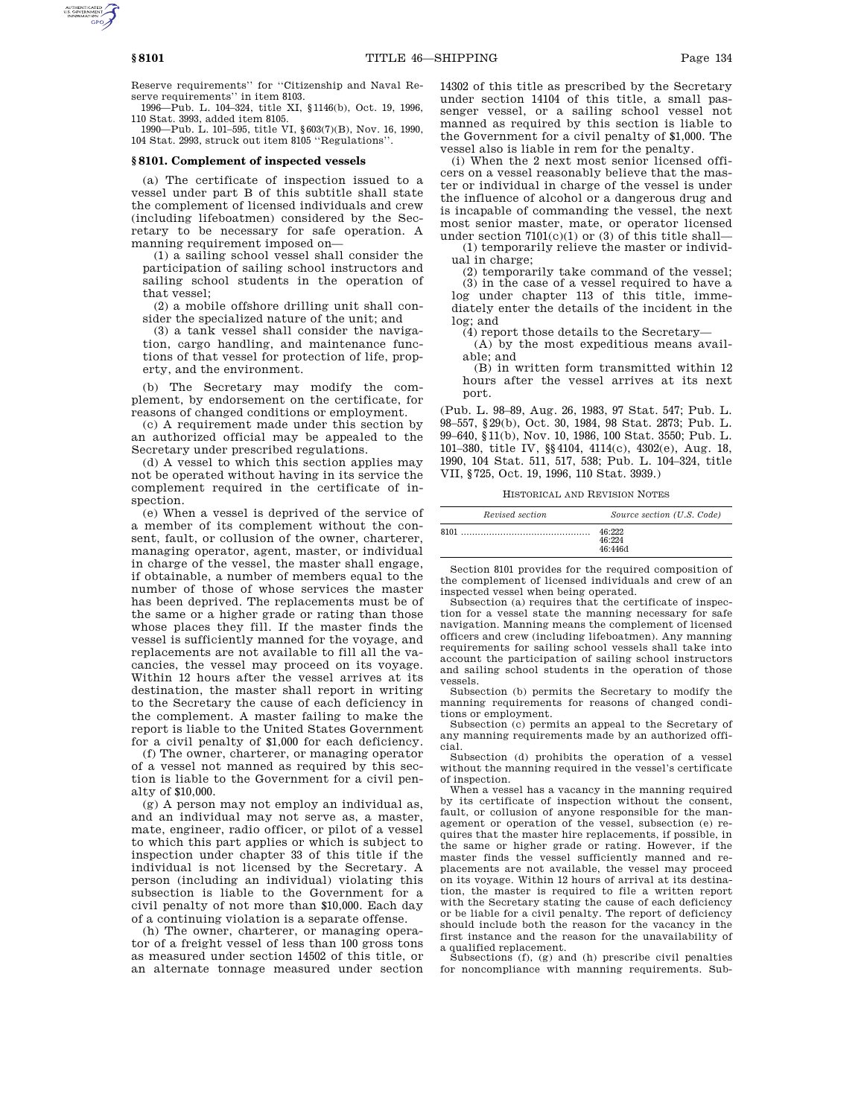Reserve requirements'' for ''Citizenship and Naval Reserve requirements'' in item 8103.

1996—Pub. L. 104–324, title XI, §1146(b), Oct. 19, 1996, 110 Stat. 3993, added item 8105.

1990—Pub. L. 101–595, title VI, §603(7)(B), Nov. 16, 1990, 104 Stat. 2993, struck out item 8105 ''Regulations''.

# **§ 8101. Complement of inspected vessels**

(a) The certificate of inspection issued to a vessel under part B of this subtitle shall state the complement of licensed individuals and crew (including lifeboatmen) considered by the Secretary to be necessary for safe operation. A manning requirement imposed on—

(1) a sailing school vessel shall consider the participation of sailing school instructors and sailing school students in the operation of that vessel;

(2) a mobile offshore drilling unit shall consider the specialized nature of the unit; and

(3) a tank vessel shall consider the navigation, cargo handling, and maintenance functions of that vessel for protection of life, property, and the environment.

(b) The Secretary may modify the complement, by endorsement on the certificate, for reasons of changed conditions or employment.

(c) A requirement made under this section by an authorized official may be appealed to the Secretary under prescribed regulations.

(d) A vessel to which this section applies may not be operated without having in its service the complement required in the certificate of inspection.

(e) When a vessel is deprived of the service of a member of its complement without the consent, fault, or collusion of the owner, charterer, managing operator, agent, master, or individual in charge of the vessel, the master shall engage, if obtainable, a number of members equal to the number of those of whose services the master has been deprived. The replacements must be of the same or a higher grade or rating than those whose places they fill. If the master finds the vessel is sufficiently manned for the voyage, and replacements are not available to fill all the vacancies, the vessel may proceed on its voyage. Within 12 hours after the vessel arrives at its destination, the master shall report in writing to the Secretary the cause of each deficiency in the complement. A master failing to make the report is liable to the United States Government for a civil penalty of \$1,000 for each deficiency.

(f) The owner, charterer, or managing operator of a vessel not manned as required by this section is liable to the Government for a civil penalty of \$10,000.

(g) A person may not employ an individual as, and an individual may not serve as, a master, mate, engineer, radio officer, or pilot of a vessel to which this part applies or which is subject to inspection under chapter 33 of this title if the individual is not licensed by the Secretary. A person (including an individual) violating this subsection is liable to the Government for a civil penalty of not more than \$10,000. Each day of a continuing violation is a separate offense.

(h) The owner, charterer, or managing operator of a freight vessel of less than 100 gross tons as measured under section 14502 of this title, or an alternate tonnage measured under section

14302 of this title as prescribed by the Secretary under section 14104 of this title, a small passenger vessel, or a sailing school vessel not manned as required by this section is liable to the Government for a civil penalty of \$1,000. The vessel also is liable in rem for the penalty.

(i) When the 2 next most senior licensed officers on a vessel reasonably believe that the master or individual in charge of the vessel is under the influence of alcohol or a dangerous drug and is incapable of commanding the vessel, the next most senior master, mate, or operator licensed under section  $7101(c)(1)$  or (3) of this title shall—

(1) temporarily relieve the master or individual in charge;

(2) temporarily take command of the vessel;

(3) in the case of a vessel required to have a log under chapter 113 of this title, immediately enter the details of the incident in the log; and

(4) report those details to the Secretary—

(A) by the most expeditious means available; and

(B) in written form transmitted within 12 hours after the vessel arrives at its next port.

(Pub. L. 98–89, Aug. 26, 1983, 97 Stat. 547; Pub. L. 98–557, §29(b), Oct. 30, 1984, 98 Stat. 2873; Pub. L. 99–640, §11(b), Nov. 10, 1986, 100 Stat. 3550; Pub. L. 101–380, title IV, §§4104, 4114(c), 4302(e), Aug. 18, 1990, 104 Stat. 511, 517, 538; Pub. L. 104–324, title VII, §725, Oct. 19, 1996, 110 Stat. 3939.)

HISTORICAL AND REVISION NOTES

| Revised section | Source section (U.S. Code)  |
|-----------------|-----------------------------|
| 8101            | 46:222<br>46.224<br>46.446d |

Section 8101 provides for the required composition of the complement of licensed individuals and crew of an inspected vessel when being operated.

Subsection (a) requires that the certificate of inspection for a vessel state the manning necessary for safe navigation. Manning means the complement of licensed officers and crew (including lifeboatmen). Any manning requirements for sailing school vessels shall take into account the participation of sailing school instructors and sailing school students in the operation of those vessels.

Subsection (b) permits the Secretary to modify the manning requirements for reasons of changed conditions or employment.

Subsection (c) permits an appeal to the Secretary of any manning requirements made by an authorized official.

Subsection (d) prohibits the operation of a vessel without the manning required in the vessel's certificate of inspection.

When a vessel has a vacancy in the manning required by its certificate of inspection without the consent, fault, or collusion of anyone responsible for the management or operation of the vessel, subsection (e) requires that the master hire replacements, if possible, in the same or higher grade or rating. However, if the master finds the vessel sufficiently manned and replacements are not available, the vessel may proceed on its voyage. Within 12 hours of arrival at its destination, the master is required to file a written report with the Secretary stating the cause of each deficiency or be liable for a civil penalty. The report of deficiency should include both the reason for the vacancy in the first instance and the reason for the unavailability of a qualified replacement.

Subsections (f), (g) and (h) prescribe civil penalties for noncompliance with manning requirements. Sub-